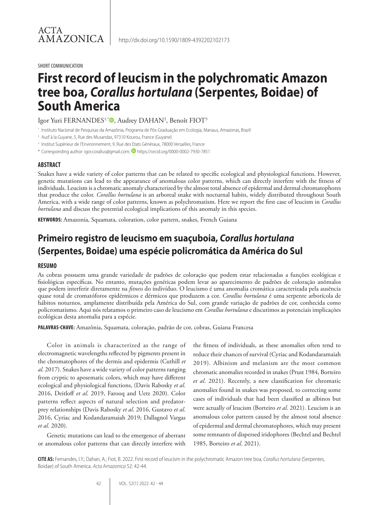#### SHORT COMMUNICATION

# **First record of leucism in the polychromatic Amazon tree boa,** *Corallus hortulana* **(Serpentes, Boidae) of South America**

## Igor Yuri FERNANDES1,\*®, Audrey DAHAN2, Benoît FIOT3

<sup>1</sup> Instituto Nacional de Pesquisas da Amazônia, Programa de Pós-Graduação em Ecologia, Manaus, Amazonas, Brazil

<sup>2</sup> Aud' à la Guyane, 5, Rue des Musandas, 97310 Kourou, France (Guyane)

<sup>3</sup> Institut Supérieur de l'Environnement, 9, Rue des Etats Généraux, 78000 Versailles, France

\* Corresponding author: igor.corallus@gmail.com; https://orcid.org/0000-0002-7930-7851

### **ABSTRACT**

Snakes have a wide variety of color patterns that can be related to specific ecological and physiological functions. However, genetic mutations can lead to the appearance of anomalous color patterns, which can directly interfere with the fitness of individuals. Leucism is a chromatic anomaly characterized by the almost total absence of epidermal and dermal chromatophores that produce the color. *Corallus hortulana* is an arboreal snake with nocturnal habits, widely distributed throughout South America, with a wide range of color patterns, known as polychromatism. Here we report the first case of leucism in *Corallus hortulana* and discuss the potential ecological implications of this anomaly in this species.

**KEYWORDS:** Amazonia, Squamata, coloration, color pattern, snakes, French Guiana

# **Primeiro registro de leucismo em suaçuboia,** *Corallus hortulana* **(Serpentes, Boidae) uma espécie policromática da América do Sul**

#### **RESUMO**

As cobras possuem uma grande variedade de padrões de coloração que podem estar relacionadas a funções ecológicas e fisiológicas específicas. No entanto, mutações genéticas podem levar ao aparecimento de padrões de coloração anômalos que podem interferir diretamente na *fitness* do indivíduo. O leucismo é uma anomalia cromática caracterizada pela ausência quase total de cromatóforos epidérmicos e dérmicos que produzem a cor. *Corallus hortulana* é uma serpente arborícola de hábitos noturnos, amplamente distribuída pela América do Sul, com grande variação de padrões de cor, conhecida como policromatismo. Aqui nós relatamos o primeiro caso de leucismo em *Corallus hortulana* e discutimos as potenciais implicações ecológicas desta anomalia para a espécie.

**PALAVRAS-CHAVE:** Amazônia, Squamata, coloração, padrão de cor, cobras, Guiana Francesa

Color in animals is characterized as the range of electromagnetic wavelengths reflected by pigments present in the chromatophores of the dermis and epidermis (Cuthill *et al.* 2017). Snakes have a wide variety of color patterns ranging from cryptic to aposematic colors, which may have different ecological and physiological functions, (Davis Rabosky *et al*. 2016, Deitloff *et al*. 2019, Farooq and Uetz 2020). Color patterns reflect aspects of natural selection and predatorprey relationships (Davis Rabosky *et al*. 2016, Gustavo *et al*. 2016, Cyriac and Kodandaramaiah 2019; Dallagnol Vargas *et al*. 2020).

Genetic mutations can lead to the emergence of aberrant or anomalous color patterns that can directly interfere with

the fitness of individuals, as these anomalies often tend to reduce their chances of survival (Cyriac and Kodandaramaiah 2019). Albinism and melanism are the most common chromatic anomalies recorded in snakes (Prust 1984, Borteiro *et al*. 2021). Recently, a new classification for chromatic anomalies found in snakes was proposed, to correcting some cases of individuals that had been classified as albinos but were actually of leucism (Borteiro *et al*. 2021). Leucism is an anomalous color pattern caused by the almost total absence of epidermal and dermal chromatophores, which may present some remnants of dispersed iridophores (Bechtel and Bechtel 1985, Borteiro *et al*. 2021).

**CITE AS:** Fernandes, I.Y.; Dahan, A.; Fiot, B. 2022. First record of leucism in the polychromatic Amazon tree boa, *Corallus hortulana* (Serpentes, Boidae) of South America. *Acta Amazonica* 52: 42-44.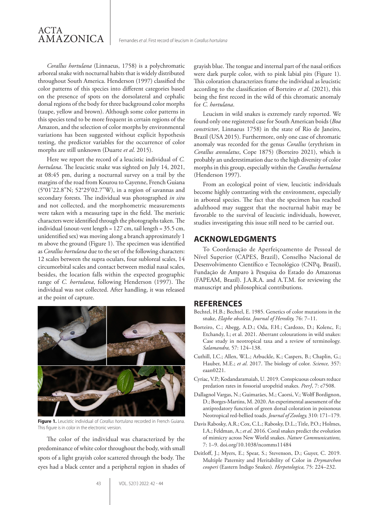*Corallus hortulana* (Linnaeus, 1758) is a polychromatic arboreal snake with nocturnal habits that is widely distributed throughout South America. Henderson (1997) classified the color patterns of this species into different categories based on the presence of spots on the dorsolateral and cephalic dorsal regions of the body for three background color morphs (taupe, yellow and brown). Although some color patterns in this species tend to be more frequent in certain regions of the Amazon, and the selection of color morphs by environmental variations has been suggested without explicit hypothesis testing, the predictor variables for the occurrence of color morphs are still unknown (Duarte *et al*. 2015).

Here we report the record of a leucistic individual of *C. hortulana*. The leucistic snake was sighted on July 14, 2021, at 08:45 pm, during a nocturnal survey on a trail by the margins of the road from Kourou to Cayenne, French Guiana (5°01'22.8"N; 52°29'02.7"W), in a region of savannas and secondary forests. The individual was photographed *in situ* and not collected, and the morphometric measurements were taken with a measuring tape in the field. The meristic characters were identified through the photographs taken. The individual (snout-vent length = 127 cm, tail length = 35.5 cm, unidentified sex) was moving along a branch approximately 1 m above the ground (Figure 1). The specimen was identified as *Corallus hortulana* due to the set of the following characters: 12 scales between the supra oculars, four subloreal scales, 14 circumorbital scales and contact between medial nasal scales, besides, the location falls within the expected geographic range of *C. hortulana*, following Henderson (1997). The individual was not collected. After handling, it was released at the point of capture.



**Figure 1.** Leucistic individual of *Corallus hortulana* recorded in French Guiana. This figure is in color in the electronic version.

The color of the individual was characterized by the predominance of white color throughout the body, with small spots of a light grayish color scattered through the body. The eyes had a black center and a peripheral region in shades of grayish blue. The tongue and internal part of the nasal orifices were dark purple color, with to pink labial pits (Figure 1). This coloration characterizes frame the individual as leucistic according to the classification of Borteiro *et al*. (2021), this being the first record in the wild of this chromatic anomaly for *C. hortulana*.

Leucism in wild snakes is extremely rarely reported. We found only one registered case for South American boids (*Boa constrictor*, Linnaeus 1758) in the state of Rio de Janeiro, Brazil (USA 2015). Furthermore, only one case of chromatic anomaly was recorded for the genus *Corallus* (erythrism in *Corallus annulatus*, Cope 1875) (Borteiro 2021), which is probably an underestimation due to the high diversity of color morphs in this group, especially within the *Corallus hortulana* (Henderson 1997).

From an ecological point of view, leucistic individuals become highly contrasting with the environment, especially in arboreal species. The fact that the specimen has reached adulthood may suggest that the nocturnal habit may be favorable to the survival of leucistic individuals, however, studies investigating this issue still need to be carried out.

### **ACKNOWLEDGMENTS**

To Coordenação de Aperfeiçoamento de Pessoal de Nível Superior (CAPES, Brazil), Conselho Nacional de Desenvolvimento Científico e Tecnológico (CNPq, Brazil), Fundação de Amparo à Pesquisa do Estado do Amazonas (FAPEAM, Brazil). J.A.R.A. and A.T.M. for reviewing the manuscript and philosophical contributions.

### **REFERENCES**

- Bechtel, H.B.; Bechtel, E. 1985. Genetics of color mutations in the snake, *Elaphe obsoleta*. *Journal of Heredity,* 76: 7–11.
- Borteiro, C.; Abegg, A.D.; Oda, F.H.; Cardozo, D.; Kolenc, F.; Etchandy, I.; et al. 2021. Aberrant colourations in wild snakes: Case study in neotropical taxa and a review of terminology. *Salamandra,* 57: 124–138.
- Cuthill, I.C.; Allen, W.L.; Arbuckle, K.; Caspers, B.; Chaplin, G.; Hauber, M.E.; *et al*. 2017. The biology of color. *Science,* 357: eaan0221.
- Cyriac, V.P.; Kodandaramaiah, U. 2019. Conspicuous colours reduce predation rates in fossorial uropeltid snakes. *PeerJ*, 7: e7508.
- Dallagnol Vargas, N.; Guimarães, M.; Caorsi, V.; Wolff Bordignon, D.; Borges-Martins, M. 2020. An experimental assessment of the antipredatory function of green dorsal coloration in poisonous Neotropical red-bellied toads. *Journal of Zoology,* 310: 171–179.
- Davis Rabosky, A.R.; Cox, C.L.; Rabosky, D.L.; Title, P.O.; Holmes, I.A.; Feldman, A.; *et al*. 2016. Coral snakes predict the evolution of mimicry across New World snakes. *Nature Communications,* 7: 1–9. doi.org/10.1038/ncomms11484
- Deitloff, J.; Myers, E.; Spear, S.; Stevenson, D.; Guyer, C. 2019. Multiple Paternity and Heritability of Color in *Drymarchon couperi* (Eastern Indigo Snakes). *Herpetologica,* 75: 224–232.